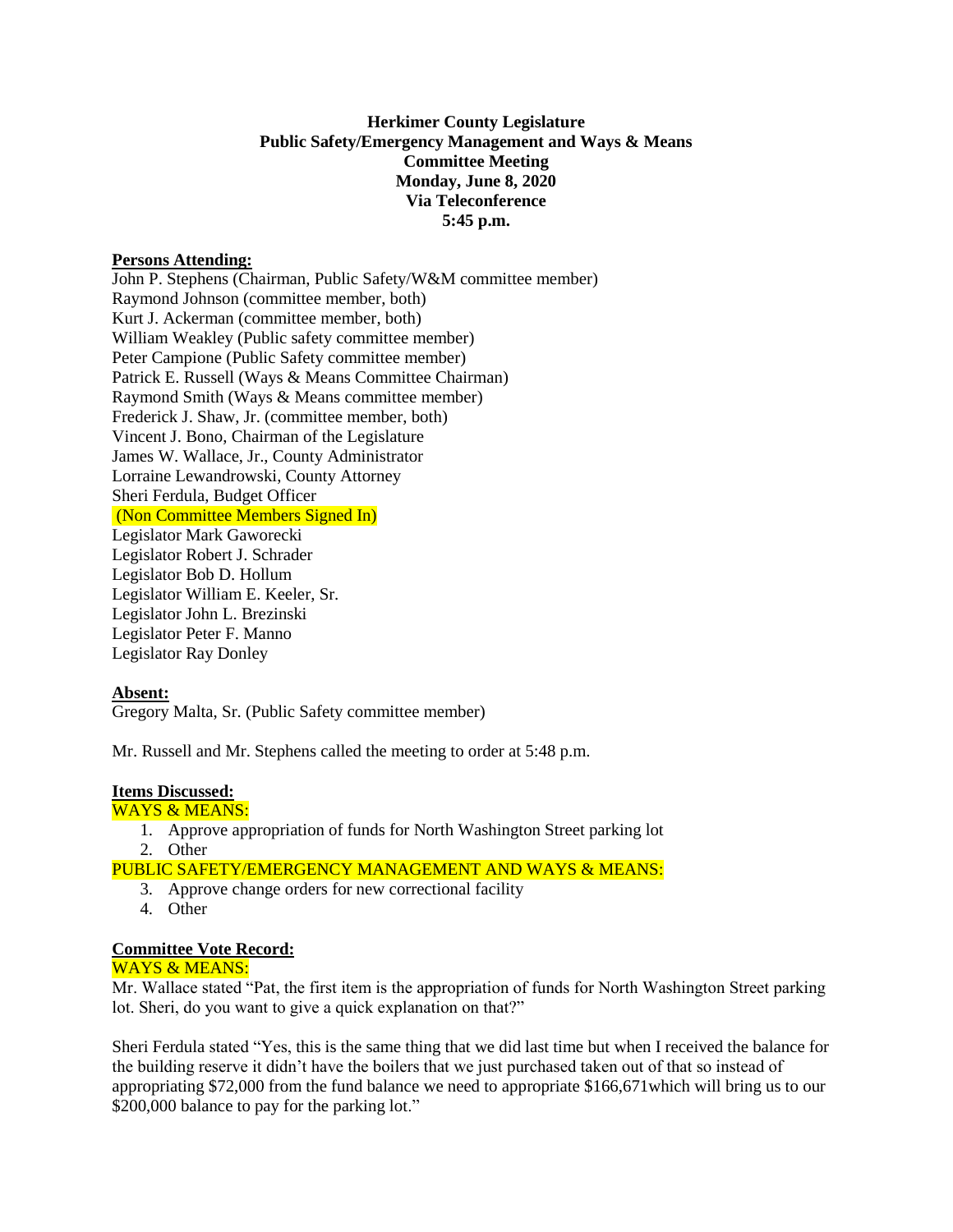# **Herkimer County Legislature Public Safety/Emergency Management and Ways & Means Committee Meeting Monday, June 8, 2020 Via Teleconference 5:45 p.m.**

### **Persons Attending:**

John P. Stephens (Chairman, Public Safety/W&M committee member) Raymond Johnson (committee member, both) Kurt J. Ackerman (committee member, both) William Weakley (Public safety committee member) Peter Campione (Public Safety committee member) Patrick E. Russell (Ways & Means Committee Chairman) Raymond Smith (Ways & Means committee member) Frederick J. Shaw, Jr. (committee member, both) Vincent J. Bono, Chairman of the Legislature James W. Wallace, Jr., County Administrator Lorraine Lewandrowski, County Attorney Sheri Ferdula, Budget Officer (Non Committee Members Signed In) Legislator Mark Gaworecki Legislator Robert J. Schrader Legislator Bob D. Hollum Legislator William E. Keeler, Sr. Legislator John L. Brezinski Legislator Peter F. Manno Legislator Ray Donley

## **Absent:**

Gregory Malta, Sr. (Public Safety committee member)

Mr. Russell and Mr. Stephens called the meeting to order at 5:48 p.m.

#### **Items Discussed:**

WAYS & MEANS:

- 1. Approve appropriation of funds for North Washington Street parking lot 2. Other
- PUBLIC SAFETY/EMERGENCY MANAGEMENT AND WAYS & MEANS:
	- 3. Approve change orders for new correctional facility
	- 4. Other

#### **Committee Vote Record:**

## WAYS & MEANS:

Mr. Wallace stated "Pat, the first item is the appropriation of funds for North Washington Street parking lot. Sheri, do you want to give a quick explanation on that?"

Sheri Ferdula stated "Yes, this is the same thing that we did last time but when I received the balance for the building reserve it didn't have the boilers that we just purchased taken out of that so instead of appropriating \$72,000 from the fund balance we need to appropriate \$166,671which will bring us to our \$200,000 balance to pay for the parking lot."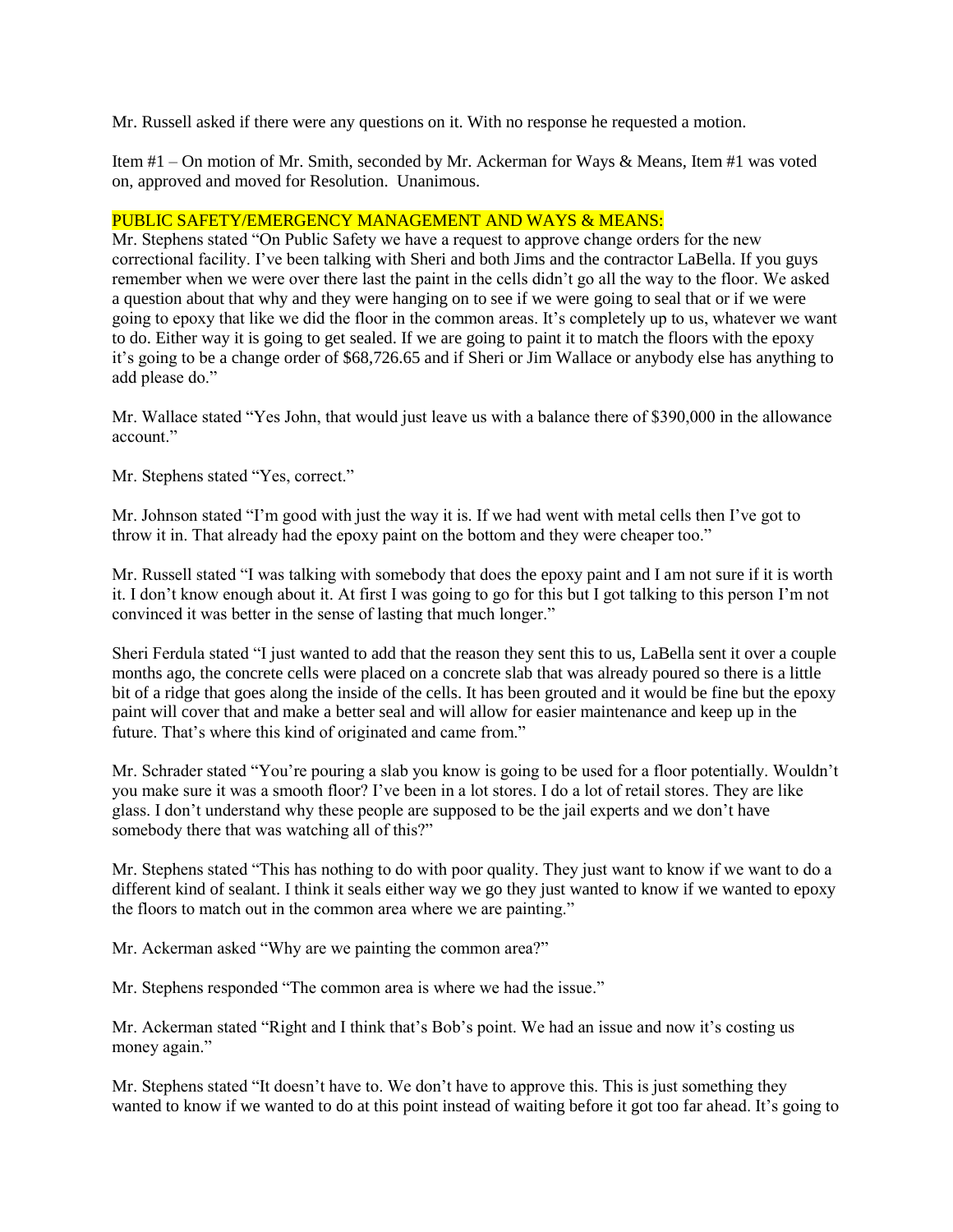Mr. Russell asked if there were any questions on it. With no response he requested a motion.

Item #1 – On motion of Mr. Smith, seconded by Mr. Ackerman for Ways & Means, Item #1 was voted on, approved and moved for Resolution. Unanimous.

## PUBLIC SAFETY/EMERGENCY MANAGEMENT AND WAYS & MEANS:

Mr. Stephens stated "On Public Safety we have a request to approve change orders for the new correctional facility. I've been talking with Sheri and both Jims and the contractor LaBella. If you guys remember when we were over there last the paint in the cells didn't go all the way to the floor. We asked a question about that why and they were hanging on to see if we were going to seal that or if we were going to epoxy that like we did the floor in the common areas. It's completely up to us, whatever we want to do. Either way it is going to get sealed. If we are going to paint it to match the floors with the epoxy it's going to be a change order of \$68,726.65 and if Sheri or Jim Wallace or anybody else has anything to add please do."

Mr. Wallace stated "Yes John, that would just leave us with a balance there of \$390,000 in the allowance account."

Mr. Stephens stated "Yes, correct."

Mr. Johnson stated "I'm good with just the way it is. If we had went with metal cells then I've got to throw it in. That already had the epoxy paint on the bottom and they were cheaper too."

Mr. Russell stated "I was talking with somebody that does the epoxy paint and I am not sure if it is worth it. I don't know enough about it. At first I was going to go for this but I got talking to this person I'm not convinced it was better in the sense of lasting that much longer."

Sheri Ferdula stated "I just wanted to add that the reason they sent this to us, LaBella sent it over a couple months ago, the concrete cells were placed on a concrete slab that was already poured so there is a little bit of a ridge that goes along the inside of the cells. It has been grouted and it would be fine but the epoxy paint will cover that and make a better seal and will allow for easier maintenance and keep up in the future. That's where this kind of originated and came from."

Mr. Schrader stated "You're pouring a slab you know is going to be used for a floor potentially. Wouldn't you make sure it was a smooth floor? I've been in a lot stores. I do a lot of retail stores. They are like glass. I don't understand why these people are supposed to be the jail experts and we don't have somebody there that was watching all of this?"

Mr. Stephens stated "This has nothing to do with poor quality. They just want to know if we want to do a different kind of sealant. I think it seals either way we go they just wanted to know if we wanted to epoxy the floors to match out in the common area where we are painting."

Mr. Ackerman asked "Why are we painting the common area?"

Mr. Stephens responded "The common area is where we had the issue."

Mr. Ackerman stated "Right and I think that's Bob's point. We had an issue and now it's costing us money again."

Mr. Stephens stated "It doesn't have to. We don't have to approve this. This is just something they wanted to know if we wanted to do at this point instead of waiting before it got too far ahead. It's going to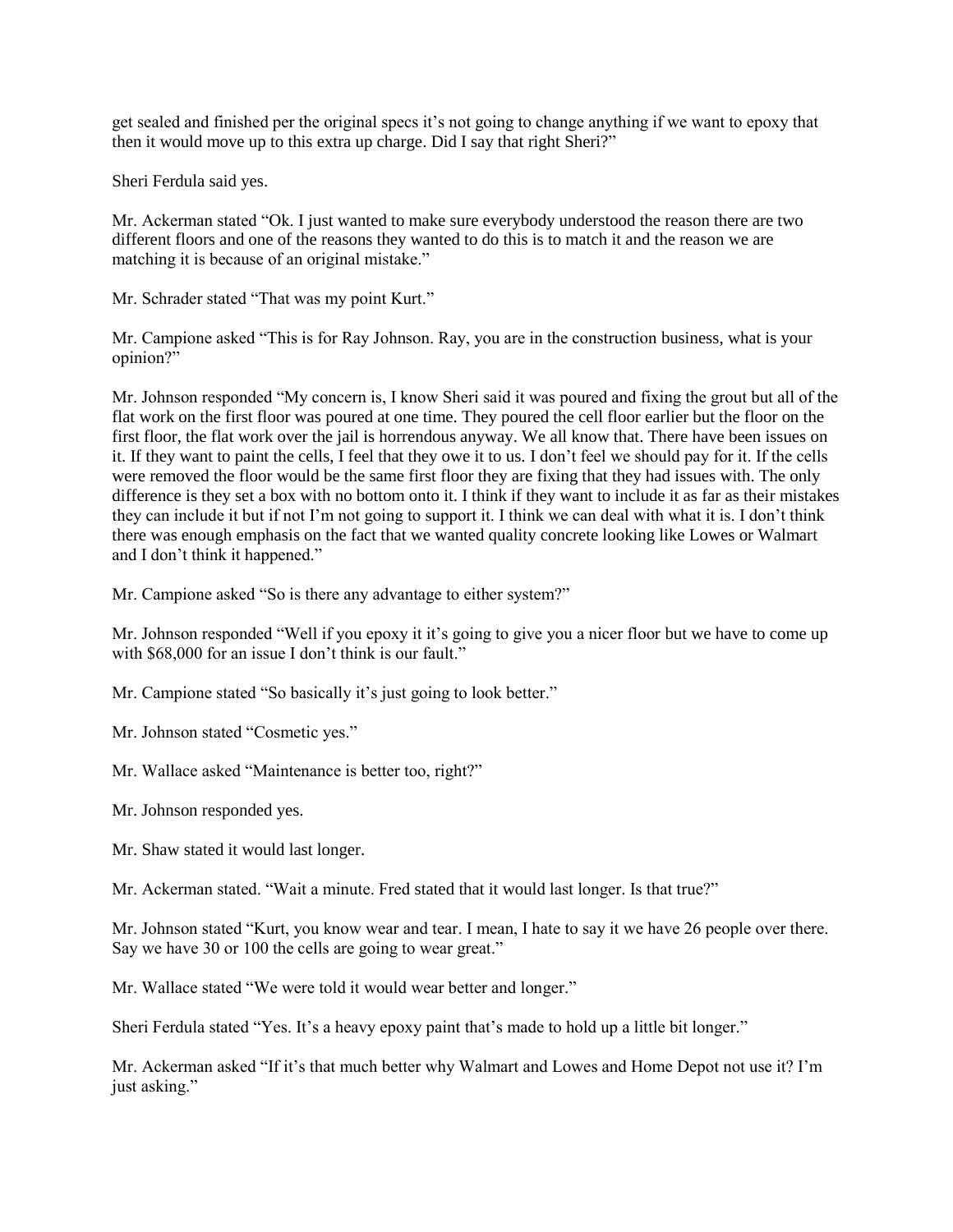get sealed and finished per the original specs it's not going to change anything if we want to epoxy that then it would move up to this extra up charge. Did I say that right Sheri?"

Sheri Ferdula said yes.

Mr. Ackerman stated "Ok. I just wanted to make sure everybody understood the reason there are two different floors and one of the reasons they wanted to do this is to match it and the reason we are matching it is because of an original mistake."

Mr. Schrader stated "That was my point Kurt."

Mr. Campione asked "This is for Ray Johnson. Ray, you are in the construction business, what is your opinion?"

Mr. Johnson responded "My concern is, I know Sheri said it was poured and fixing the grout but all of the flat work on the first floor was poured at one time. They poured the cell floor earlier but the floor on the first floor, the flat work over the jail is horrendous anyway. We all know that. There have been issues on it. If they want to paint the cells, I feel that they owe it to us. I don't feel we should pay for it. If the cells were removed the floor would be the same first floor they are fixing that they had issues with. The only difference is they set a box with no bottom onto it. I think if they want to include it as far as their mistakes they can include it but if not I'm not going to support it. I think we can deal with what it is. I don't think there was enough emphasis on the fact that we wanted quality concrete looking like Lowes or Walmart and I don't think it happened."

Mr. Campione asked "So is there any advantage to either system?"

Mr. Johnson responded "Well if you epoxy it it's going to give you a nicer floor but we have to come up with \$68,000 for an issue I don't think is our fault."

Mr. Campione stated "So basically it's just going to look better."

Mr. Johnson stated "Cosmetic yes."

Mr. Wallace asked "Maintenance is better too, right?"

Mr. Johnson responded yes.

Mr. Shaw stated it would last longer.

Mr. Ackerman stated. "Wait a minute. Fred stated that it would last longer. Is that true?"

Mr. Johnson stated "Kurt, you know wear and tear. I mean, I hate to say it we have 26 people over there. Say we have 30 or 100 the cells are going to wear great."

Mr. Wallace stated "We were told it would wear better and longer."

Sheri Ferdula stated "Yes. It's a heavy epoxy paint that's made to hold up a little bit longer."

Mr. Ackerman asked "If it's that much better why Walmart and Lowes and Home Depot not use it? I'm just asking."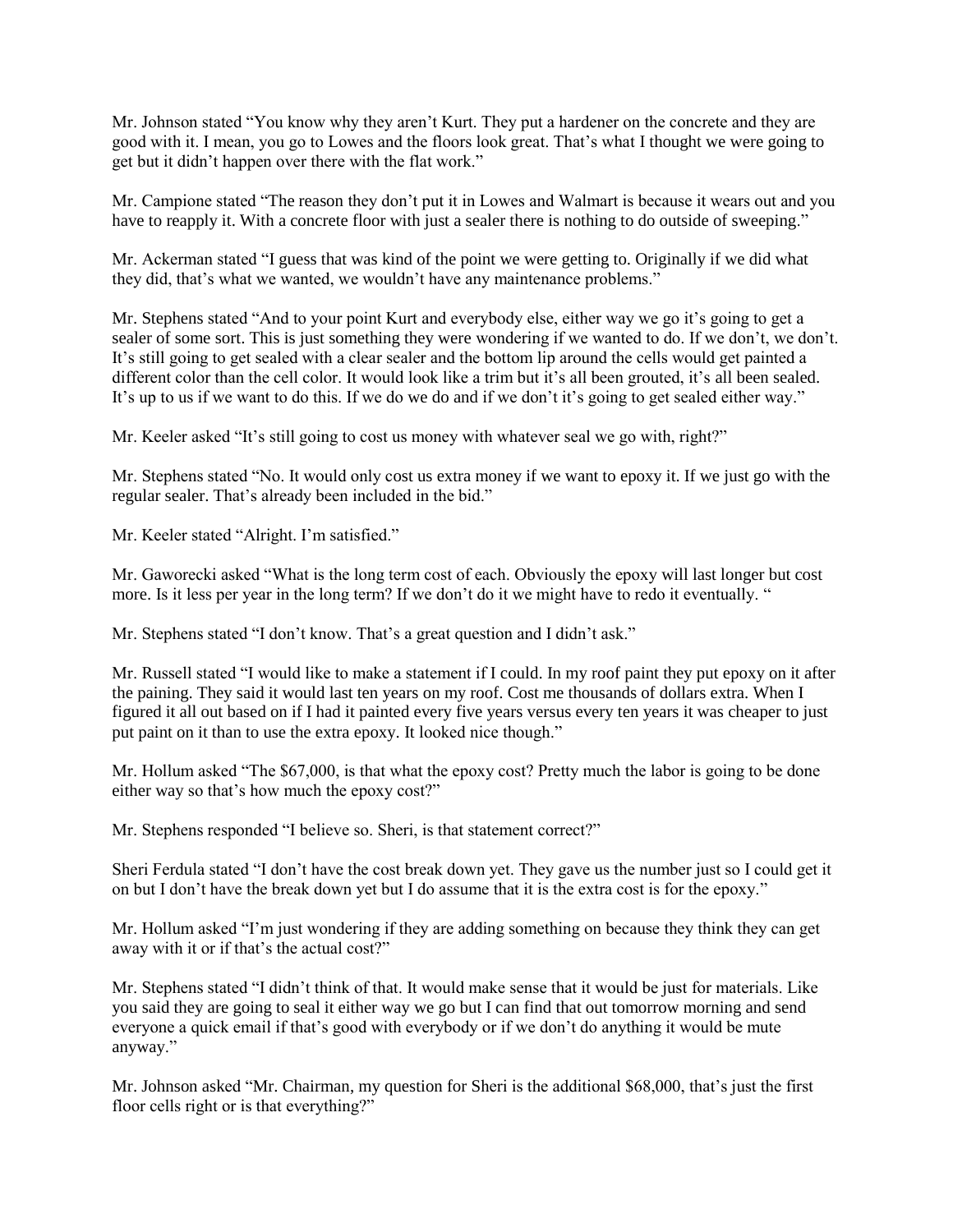Mr. Johnson stated "You know why they aren't Kurt. They put a hardener on the concrete and they are good with it. I mean, you go to Lowes and the floors look great. That's what I thought we were going to get but it didn't happen over there with the flat work."

Mr. Campione stated "The reason they don't put it in Lowes and Walmart is because it wears out and you have to reapply it. With a concrete floor with just a sealer there is nothing to do outside of sweeping."

Mr. Ackerman stated "I guess that was kind of the point we were getting to. Originally if we did what they did, that's what we wanted, we wouldn't have any maintenance problems."

Mr. Stephens stated "And to your point Kurt and everybody else, either way we go it's going to get a sealer of some sort. This is just something they were wondering if we wanted to do. If we don't, we don't. It's still going to get sealed with a clear sealer and the bottom lip around the cells would get painted a different color than the cell color. It would look like a trim but it's all been grouted, it's all been sealed. It's up to us if we want to do this. If we do we do and if we don't it's going to get sealed either way."

Mr. Keeler asked "It's still going to cost us money with whatever seal we go with, right?"

Mr. Stephens stated "No. It would only cost us extra money if we want to epoxy it. If we just go with the regular sealer. That's already been included in the bid."

Mr. Keeler stated "Alright. I'm satisfied."

Mr. Gaworecki asked "What is the long term cost of each. Obviously the epoxy will last longer but cost more. Is it less per year in the long term? If we don't do it we might have to redo it eventually. "

Mr. Stephens stated "I don't know. That's a great question and I didn't ask."

Mr. Russell stated "I would like to make a statement if I could. In my roof paint they put epoxy on it after the paining. They said it would last ten years on my roof. Cost me thousands of dollars extra. When I figured it all out based on if I had it painted every five years versus every ten years it was cheaper to just put paint on it than to use the extra epoxy. It looked nice though."

Mr. Hollum asked "The \$67,000, is that what the epoxy cost? Pretty much the labor is going to be done either way so that's how much the epoxy cost?"

Mr. Stephens responded "I believe so. Sheri, is that statement correct?"

Sheri Ferdula stated "I don't have the cost break down yet. They gave us the number just so I could get it on but I don't have the break down yet but I do assume that it is the extra cost is for the epoxy."

Mr. Hollum asked "I'm just wondering if they are adding something on because they think they can get away with it or if that's the actual cost?"

Mr. Stephens stated "I didn't think of that. It would make sense that it would be just for materials. Like you said they are going to seal it either way we go but I can find that out tomorrow morning and send everyone a quick email if that's good with everybody or if we don't do anything it would be mute anyway."

Mr. Johnson asked "Mr. Chairman, my question for Sheri is the additional \$68,000, that's just the first floor cells right or is that everything?"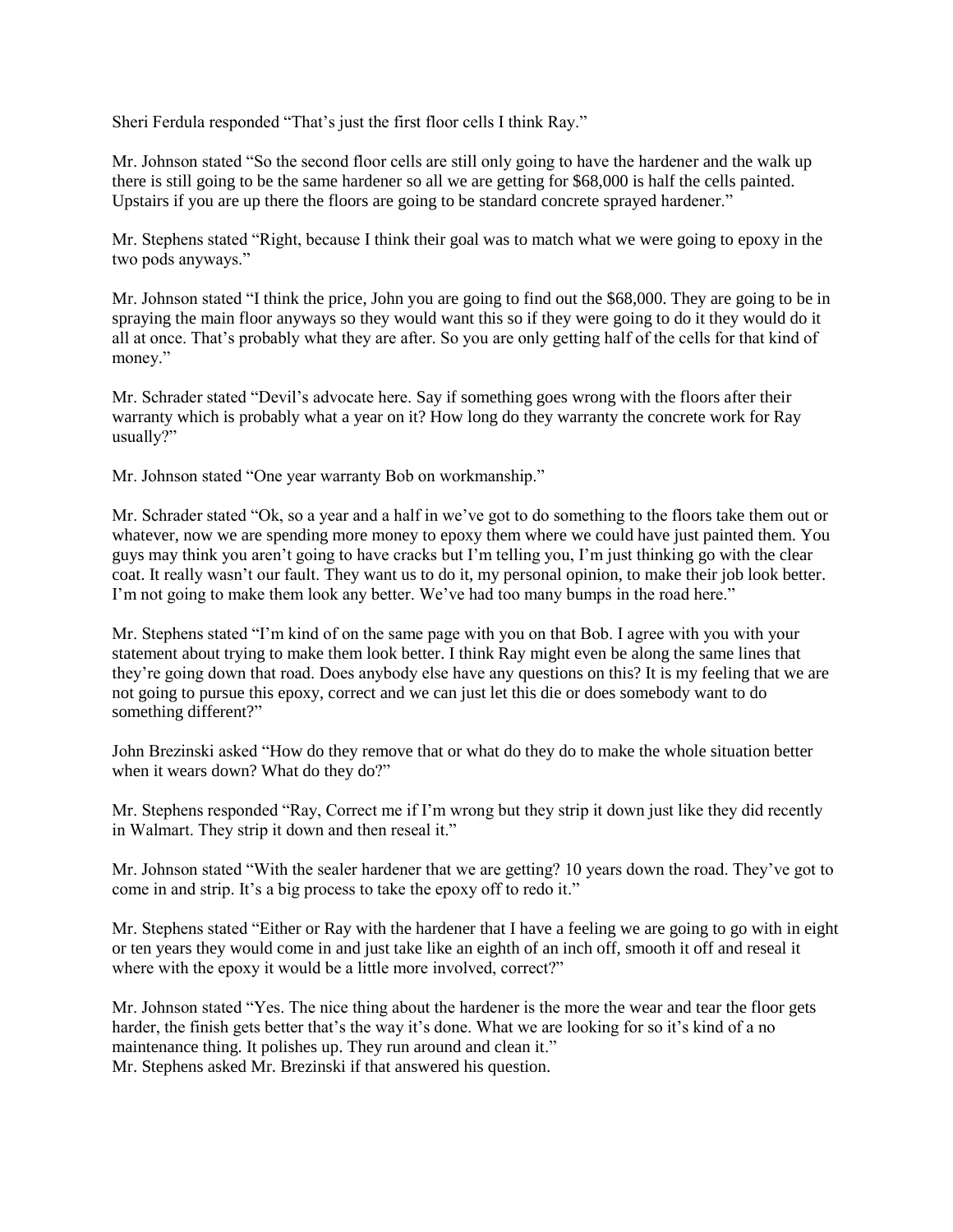Sheri Ferdula responded "That's just the first floor cells I think Ray."

Mr. Johnson stated "So the second floor cells are still only going to have the hardener and the walk up there is still going to be the same hardener so all we are getting for \$68,000 is half the cells painted. Upstairs if you are up there the floors are going to be standard concrete sprayed hardener."

Mr. Stephens stated "Right, because I think their goal was to match what we were going to epoxy in the two pods anyways."

Mr. Johnson stated "I think the price, John you are going to find out the \$68,000. They are going to be in spraying the main floor anyways so they would want this so if they were going to do it they would do it all at once. That's probably what they are after. So you are only getting half of the cells for that kind of money."

Mr. Schrader stated "Devil's advocate here. Say if something goes wrong with the floors after their warranty which is probably what a year on it? How long do they warranty the concrete work for Ray usually?"

Mr. Johnson stated "One year warranty Bob on workmanship."

Mr. Schrader stated "Ok, so a year and a half in we've got to do something to the floors take them out or whatever, now we are spending more money to epoxy them where we could have just painted them. You guys may think you aren't going to have cracks but I'm telling you, I'm just thinking go with the clear coat. It really wasn't our fault. They want us to do it, my personal opinion, to make their job look better. I'm not going to make them look any better. We've had too many bumps in the road here."

Mr. Stephens stated "I'm kind of on the same page with you on that Bob. I agree with you with your statement about trying to make them look better. I think Ray might even be along the same lines that they're going down that road. Does anybody else have any questions on this? It is my feeling that we are not going to pursue this epoxy, correct and we can just let this die or does somebody want to do something different?"

John Brezinski asked "How do they remove that or what do they do to make the whole situation better when it wears down? What do they do?"

Mr. Stephens responded "Ray, Correct me if I'm wrong but they strip it down just like they did recently in Walmart. They strip it down and then reseal it."

Mr. Johnson stated "With the sealer hardener that we are getting? 10 years down the road. They've got to come in and strip. It's a big process to take the epoxy off to redo it."

Mr. Stephens stated "Either or Ray with the hardener that I have a feeling we are going to go with in eight or ten years they would come in and just take like an eighth of an inch off, smooth it off and reseal it where with the epoxy it would be a little more involved, correct?"

Mr. Johnson stated "Yes. The nice thing about the hardener is the more the wear and tear the floor gets harder, the finish gets better that's the way it's done. What we are looking for so it's kind of a no maintenance thing. It polishes up. They run around and clean it." Mr. Stephens asked Mr. Brezinski if that answered his question.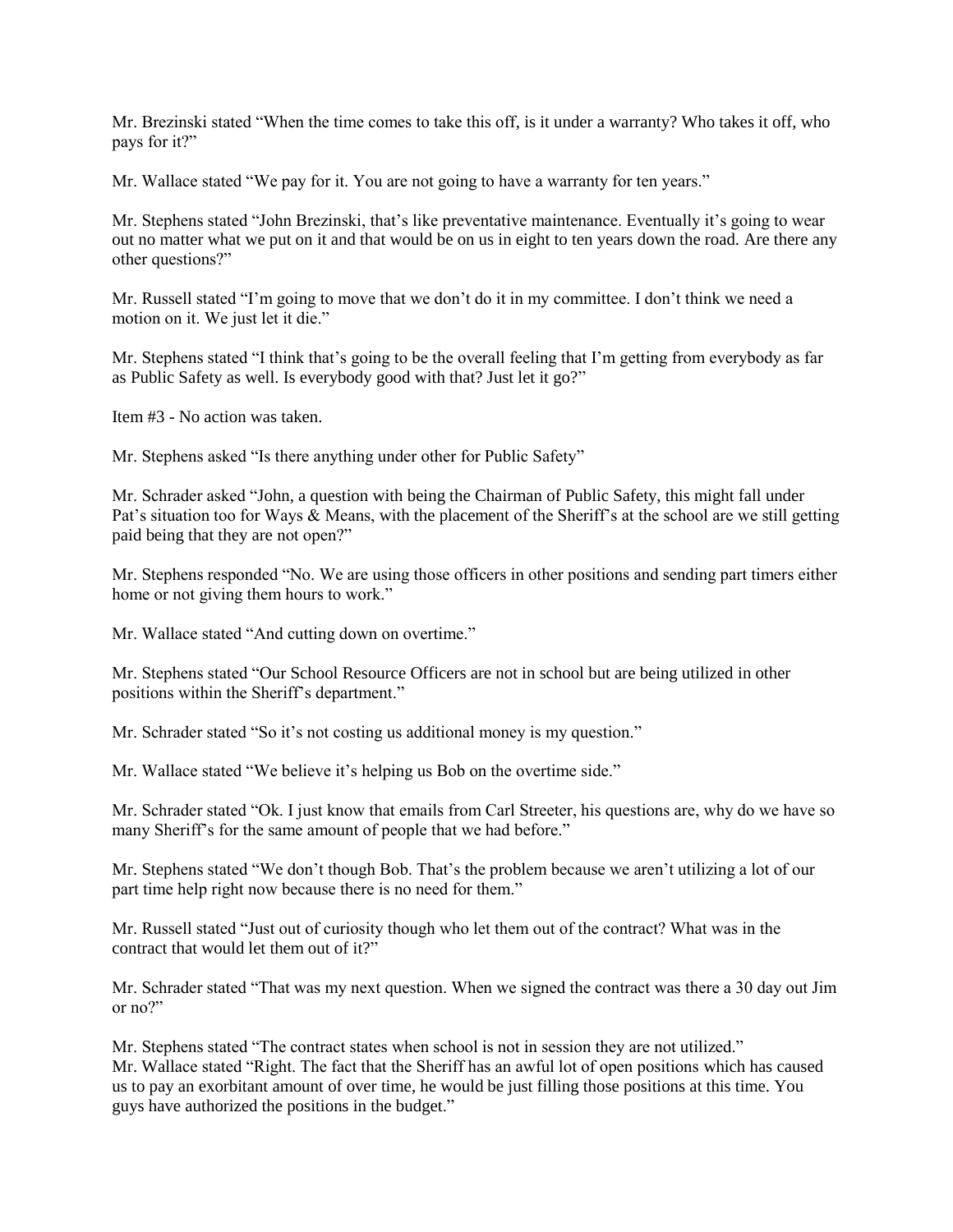Mr. Brezinski stated "When the time comes to take this off, is it under a warranty? Who takes it off, who pays for it?"

Mr. Wallace stated "We pay for it. You are not going to have a warranty for ten years."

Mr. Stephens stated "John Brezinski, that's like preventative maintenance. Eventually it's going to wear out no matter what we put on it and that would be on us in eight to ten years down the road. Are there any other questions?"

Mr. Russell stated "I'm going to move that we don't do it in my committee. I don't think we need a motion on it. We just let it die."

Mr. Stephens stated "I think that's going to be the overall feeling that I'm getting from everybody as far as Public Safety as well. Is everybody good with that? Just let it go?"

Item #3 - No action was taken.

Mr. Stephens asked "Is there anything under other for Public Safety"

Mr. Schrader asked "John, a question with being the Chairman of Public Safety, this might fall under Pat's situation too for Ways & Means, with the placement of the Sheriff's at the school are we still getting paid being that they are not open?"

Mr. Stephens responded "No. We are using those officers in other positions and sending part timers either home or not giving them hours to work."

Mr. Wallace stated "And cutting down on overtime."

Mr. Stephens stated "Our School Resource Officers are not in school but are being utilized in other positions within the Sheriff's department."

Mr. Schrader stated "So it's not costing us additional money is my question."

Mr. Wallace stated "We believe it's helping us Bob on the overtime side."

Mr. Schrader stated "Ok. I just know that emails from Carl Streeter, his questions are, why do we have so many Sheriff's for the same amount of people that we had before."

Mr. Stephens stated "We don't though Bob. That's the problem because we aren't utilizing a lot of our part time help right now because there is no need for them."

Mr. Russell stated "Just out of curiosity though who let them out of the contract? What was in the contract that would let them out of it?"

Mr. Schrader stated "That was my next question. When we signed the contract was there a 30 day out Jim or no?"

Mr. Stephens stated "The contract states when school is not in session they are not utilized." Mr. Wallace stated "Right. The fact that the Sheriff has an awful lot of open positions which has caused us to pay an exorbitant amount of over time, he would be just filling those positions at this time. You guys have authorized the positions in the budget."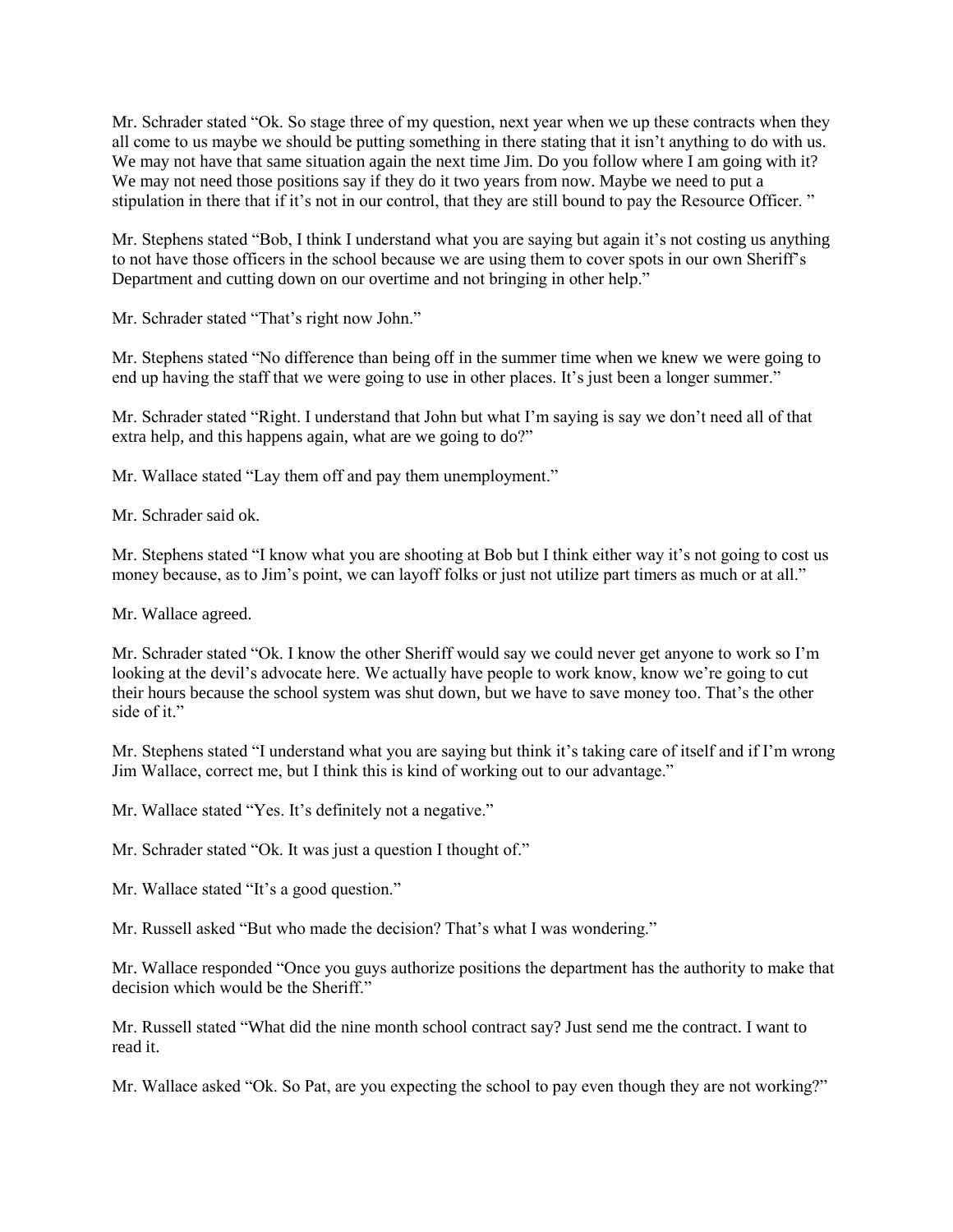Mr. Schrader stated "Ok. So stage three of my question, next year when we up these contracts when they all come to us maybe we should be putting something in there stating that it isn't anything to do with us. We may not have that same situation again the next time Jim. Do you follow where I am going with it? We may not need those positions say if they do it two years from now. Maybe we need to put a stipulation in there that if it's not in our control, that they are still bound to pay the Resource Officer. "

Mr. Stephens stated "Bob, I think I understand what you are saying but again it's not costing us anything to not have those officers in the school because we are using them to cover spots in our own Sheriff's Department and cutting down on our overtime and not bringing in other help."

Mr. Schrader stated "That's right now John."

Mr. Stephens stated "No difference than being off in the summer time when we knew we were going to end up having the staff that we were going to use in other places. It's just been a longer summer."

Mr. Schrader stated "Right. I understand that John but what I'm saying is say we don't need all of that extra help, and this happens again, what are we going to do?"

Mr. Wallace stated "Lay them off and pay them unemployment."

Mr. Schrader said ok.

Mr. Stephens stated "I know what you are shooting at Bob but I think either way it's not going to cost us money because, as to Jim's point, we can layoff folks or just not utilize part timers as much or at all."

Mr. Wallace agreed.

Mr. Schrader stated "Ok. I know the other Sheriff would say we could never get anyone to work so I'm looking at the devil's advocate here. We actually have people to work know, know we're going to cut their hours because the school system was shut down, but we have to save money too. That's the other side of it."

Mr. Stephens stated "I understand what you are saying but think it's taking care of itself and if I'm wrong Jim Wallace, correct me, but I think this is kind of working out to our advantage."

Mr. Wallace stated "Yes. It's definitely not a negative."

Mr. Schrader stated "Ok. It was just a question I thought of."

Mr. Wallace stated "It's a good question."

Mr. Russell asked "But who made the decision? That's what I was wondering."

Mr. Wallace responded "Once you guys authorize positions the department has the authority to make that decision which would be the Sheriff."

Mr. Russell stated "What did the nine month school contract say? Just send me the contract. I want to read it.

Mr. Wallace asked "Ok. So Pat, are you expecting the school to pay even though they are not working?"